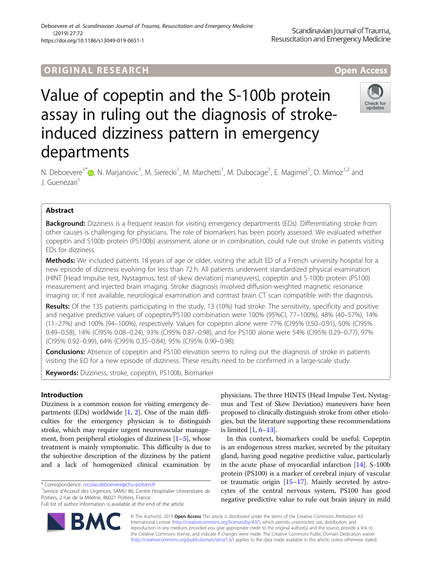## **ORIGINAL RESEARCH And Access** open Access

# Value of copeptin and the S-100b protein assay in ruling out the diagnosis of strokeinduced dizziness pattern in emergency departments



N. Deboevere<sup>1\*</sup>®[,](http://orcid.org/0000-0002-5110-5027) N. Marjanovic<sup>1</sup>, M. Sierecki<sup>1</sup>, M. Marchetti<sup>1</sup>, M. Dubocage<sup>1</sup>, E. Magimel<sup>1</sup>, O. Mimoz<sup>1,2</sup> and J. Guenezan<sup>1</sup>

### Abstract

Background: Dizziness is a frequent reason for visiting emergency departments (EDs). Differentiating stroke from other causes is challenging for physicians. The role of biomarkers has been poorly assessed. We evaluated whether copeptin and S100b protein (PS100b) assessment, alone or in combination, could rule out stroke in patients visiting EDs for dizziness.

Methods: We included patients 18 years of age or older, visiting the adult ED of a French university hospital for a new episode of dizziness evolving for less than 72 h. All patients underwent standardized physical examination (HINT [Head Impulse test, Nystagmus, test of skew deviation] maneuvers), copeptin and S-100b protein (PS100) measurement and injected brain imaging. Stroke diagnosis involved diffusion-weighted magnetic resonance imaging or, if not available, neurological examination and contrast brain CT scan compatible with the diagnosis.

Results: Of the 135 patients participating in the study, 13 (10%) had stroke. The sensitivity, specificity and positive and negative predictive values of copeptin/PS100 combination were 100% (95%CI, 77–100%), 48% (40–57%), 14% (11–27%) and 100% (94–100%), respectively. Values for copeptin alone were 77% (CI95% 0.50–0.91), 50% (CI95% 0.49–0.58), 14% (CI95% 0.08–0.24), 93% (CI95% 0.87–0.98), and for PS100 alone were 54% (CI95% 0.29–0.77), 97% (CI95% 0.92–0.99), 64% (CI95% 0.35–0.84), 95% (CI95% 0.90–0.98).

Conclusions: Absence of copeptin and PS100 elevation seems to ruling out the diagnosis of stroke in patients visiting the ED for a new episode of dizziness. These results need to be confirmed in a large-scale study.

Keywords: Dizziness, stroke, copeptin, PS100b, Biomarker

#### Introduction

Dizziness is a common reason for visiting emergency departments (EDs) worldwide [\[1,](#page-4-0) [2](#page-4-0)]. One of the main difficulties for the emergency physician is to distinguish stroke, which may require urgent neurovascular management, from peripheral etiologies of dizziness [[1](#page-4-0)–[5](#page-4-0)], whose treatment is mainly symptomatic. This difficulty is due to the subjective description of the dizziness by the patient and a lack of homogenized clinical examination by

<sup>1</sup>Service d'Acceuil des Urgences, SAMU 86, Centre Hospitalier Universitaire de Poitiers, 2 rue de la Milétrie, 86021 Poitiers, France

Full list of author information is available at the end of the article



physicians. The three HINTS (Head Impulse Test, Nystagmus and Test of Skew Deviation) maneuvers have been proposed to clinically distinguish stroke from other etiologies, but the literature supporting these recommendations is limited [\[1](#page-4-0), [6](#page-4-0)–[13](#page-4-0)].

In this context, biomarkers could be useful. Copeptin is an endogenous stress marker, secreted by the pituitary gland, having good negative predictive value, particularly in the acute phase of myocardial infarction [\[14\]](#page-4-0). S-100b protein (PS100) is a marker of cerebral injury of vascular or traumatic origin [[15](#page-4-0)–[17](#page-4-0)]. Mainly secreted by astrocytes of the central nervous system, PS100 has good negative predictive value to rule out brain injury in mild

© The Author(s). 2019 Open Access This article is distributed under the terms of the Creative Commons Attribution 4.0 International License [\(http://creativecommons.org/licenses/by/4.0/](http://creativecommons.org/licenses/by/4.0/)), which permits unrestricted use, distribution, and reproduction in any medium, provided you give appropriate credit to the original author(s) and the source, provide a link to the Creative Commons license, and indicate if changes were made. The Creative Commons Public Domain Dedication waiver [\(http://creativecommons.org/publicdomain/zero/1.0/](http://creativecommons.org/publicdomain/zero/1.0/)) applies to the data made available in this article, unless otherwise stated.

<sup>\*</sup> Correspondence: [nicolas.deboevere@chu-poitiers.fr](mailto:nicolas.deboevere@chu-poitiers.fr) <sup>1</sup>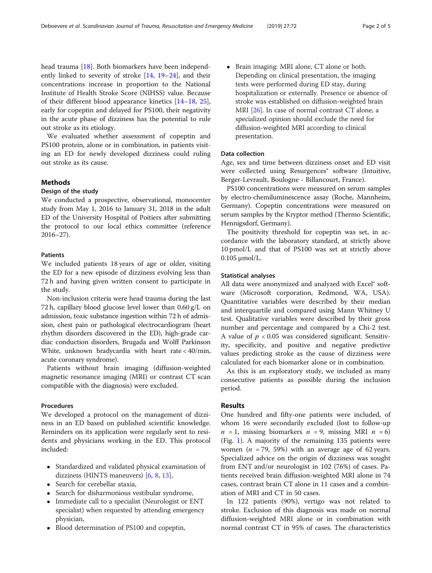head trauma [[18\]](#page-4-0). Both biomarkers have been independently linked to severity of stroke [\[14](#page-4-0), [19](#page-4-0)–[24\]](#page-4-0), and their concentrations increase in proportion to the National Institute of Health Stroke Score (NIHSS) value. Because of their different blood appearance kinetics [[14](#page-4-0)–[18,](#page-4-0) [25](#page-4-0)], early for copeptin and delayed for PS100, their negativity in the acute phase of dizziness has the potential to rule out stroke as its etiology.

We evaluated whether assessment of copeptin and PS100 protein, alone or in combination, in patients visiting an ED for newly developed dizziness could ruling out stroke as its cause.

#### Methods

#### Design of the study

We conducted a prospective, observational, monocenter study from May 1, 2016 to January 31, 2018 in the adult ED of the University Hospital of Poitiers after submitting the protocol to our local ethics committee (reference 2016–27).

#### **Patients**

We included patients 18 years of age or older, visiting the ED for a new episode of dizziness evolving less than 72 h and having given written consent to participate in the study.

Non-inclusion criteria were head trauma during the last 72 h, capillary blood glucose level lower than 0.60 g/L on admission, toxic substance ingestion within 72 h of admission, chest pain or pathological electrocardiogram (heart rhythm disorders discovered in the ED), high-grade cardiac conduction disorders, Brugada and Wolff Parkinson White, unknown bradycardia with heart rate < 40/min, acute coronary syndrome).

Patients without brain imaging (diffusion-weighted magnetic resonance imaging (MRI) or contrast CT scan compatible with the diagnosis) were excluded.

#### Procedures

We developed a protocol on the management of dizziness in an ED based on published scientific knowledge. Reminders on its application were regularly sent to residents and physicians working in the ED. This protocol included:

- Standardized and validated physical examination of dizziness (HINTS maneuvers) [[6,](#page-4-0) [8](#page-4-0), [13](#page-4-0)],
- Search for cerebellar ataxia,
- Search for disharmonious vestibular syndrome,
- Immediate call to a specialist (Neurologist or ENT specialist) when requested by attending emergency physician,
- Blood determination of PS100 and copeptin,

 Brain imaging: MRI alone, CT alone or both. Depending on clinical presentation, the imaging tests were performed during ED stay, during hospitalization or externally. Presence or absence of stroke was established on diffusion-weighted brain MRI [\[26\]](#page-4-0). In case of normal contrast CT alone, a specialized opinion should exclude the need for diffusion-weighted MRI according to clinical presentation.

#### Data collection

Age, sex and time between dizziness onset and ED visit were collected using Resurgences<sup>®</sup> software (Intuitive, Berger-Levrault, Boulogne - Billancourt, France).

PS100 concentrations were measured on serum samples by electro-chemiluminescence assay (Roche, Mannheim, Germany). Copeptin concentrations were measured on serum samples by the Kryptor method (Thermo Scientific, Hennigsdorf, Germany).

The positivity threshold for copeptin was set, in accordance with the laboratory standard, at strictly above 10 pmol/L and that of PS100 was set at strictly above 0.105 μmol/L.

#### Statistical analyses

All data were anonymized and analyzed with Excel® software (Microsoft corporation, Redmond, WA, USA). Quantitative variables were described by their median and interquartile and compared using Mann Whitney U test. Qualitative variables were described by their gross number and percentage and compared by a Chi-2 test. A value of  $p < 0.05$  was considered significant. Sensitivity, specificity, and positive and negative predictive values predicting stroke as the cause of dizziness were calculated for each biomarker alone or in combination.

As this is an exploratory study, we included as many consecutive patients as possible during the inclusion period.

#### Results

One hundred and fifty-one patients were included, of whom 16 were secondarily excluded (lost to follow-up  $n = 1$ , missing biomarkers  $n = 9$ , missing MRI  $n = 6$ ) (Fig. [1](#page-2-0)). A majority of the remaining 135 patients were women ( $n = 79$ , 59%) with an average age of 62 years. Specialized advice on the origin of dizziness was sought from ENT and/or neurologist in 102 (76%) of cases. Patients received brain diffusion-weighted MRI alone in 74 cases, contrast brain CT alone in 11 cases and a combination of MRI and CT in 50 cases.

In 122 patients (90%), vertigo was not related to stroke. Exclusion of this diagnosis was made on normal diffusion-weighted MRI alone or in combination with normal contrast CT in 95% of cases. The characteristics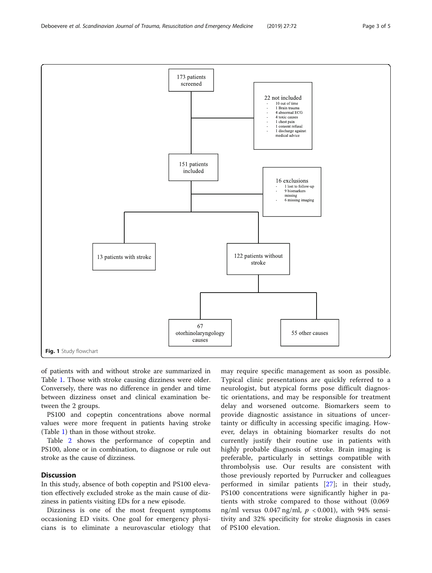of patients with and without stroke are summarized in Table [1](#page-3-0). Those with stroke causing dizziness were older. Conversely, there was no difference in gender and time between dizziness onset and clinical examination between the 2 groups.

PS100 and copeptin concentrations above normal values were more frequent in patients having stroke (Table [1\)](#page-3-0) than in those without stroke.

Table [2](#page-3-0) shows the performance of copeptin and PS100, alone or in combination, to diagnose or rule out stroke as the cause of dizziness.

#### **Discussion**

In this study, absence of both copeptin and PS100 elevation effectively excluded stroke as the main cause of dizziness in patients visiting EDs for a new episode.

Dizziness is one of the most frequent symptoms occasioning ED visits. One goal for emergency physicians is to eliminate a neurovascular etiology that

may require specific management as soon as possible. Typical clinic presentations are quickly referred to a neurologist, but atypical forms pose difficult diagnostic orientations, and may be responsible for treatment delay and worsened outcome. Biomarkers seem to provide diagnostic assistance in situations of uncertainty or difficulty in accessing specific imaging. However, delays in obtaining biomarker results do not currently justify their routine use in patients with highly probable diagnosis of stroke. Brain imaging is preferable, particularly in settings compatible with thrombolysis use. Our results are consistent with those previously reported by Purrucker and colleagues performed in similar patients [\[27](#page-4-0)]; in their study, PS100 concentrations were significantly higher in patients with stroke compared to those without (0.069 ng/ml versus 0.047 ng/ml,  $p < 0.001$ ), with 94% sensitivity and 32% specificity for stroke diagnosis in cases of PS100 elevation.

<span id="page-2-0"></span>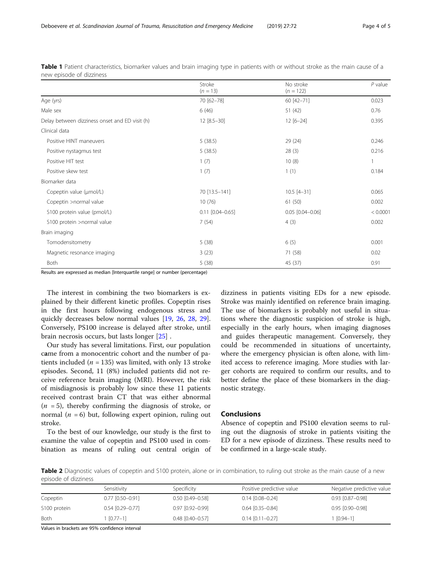|                                                | Stroke<br>$(n = 13)$   | No stroke<br>$(n = 122)$ | $P$ value |
|------------------------------------------------|------------------------|--------------------------|-----------|
| Age (yrs)                                      | 70 [62-78]             | 60 [42-71]               | 0.023     |
| Male sex                                       | 6(46)                  | 51 (42)                  | 0.76      |
| Delay between dizziness onset and ED visit (h) | $12 [8.5 - 30]$        | $12 [6 - 24]$            | 0.395     |
| Clinical data                                  |                        |                          |           |
| Positive HINT maneuvers                        | 5(38.5)                | 29(24)                   | 0.246     |
| Positive nystagmus test                        | 5(38.5)                | 28(3)                    | 0.216     |
| Positive HIT test                              | 1(7)                   | 10(8)                    |           |
| Positive skew test                             | 1(7)                   | 1(1)                     | 0.184     |
| Biomarker data                                 |                        |                          |           |
| Copeptin value (µmol/L)                        | 70 [13.5-141]          | $10.5$ [4-31]            | 0.065     |
| Copeptin >normal value                         | 10(76)                 | 61 (50)                  | 0.002     |
| S100 protein value (pmol/L)                    | $0.11$ $[0.04 - 0.65]$ | $0.05$ $[0.04 - 0.06]$   | < 0.0001  |
| \$100 protein >normal value                    | 7(54)                  | 4(3)                     | 0.002     |
| Brain imaging                                  |                        |                          |           |
| Tomodensitometry                               | 5(38)                  | 6(5)                     | 0.001     |
| Magnetic resonance imaging                     | 3(23)                  | 71 (58)                  | 0.02      |
| Both                                           | 5(38)                  | 45 (37)                  | 0.91      |

<span id="page-3-0"></span>Table 1 Patient characteristics, biomarker values and brain imaging type in patients with or without stroke as the main cause of a new episode of dizziness

Results are expressed as median [Interquartile range] or number (percentage)

The interest in combining the two biomarkers is explained by their different kinetic profiles. Copeptin rises in the first hours following endogenous stress and quickly decreases below normal values [[19,](#page-4-0) [26,](#page-4-0) [28](#page-4-0), [29](#page-4-0)]. Conversely, PS100 increase is delayed after stroke, until brain necrosis occurs, but lasts longer [\[25](#page-4-0)] .

Our study has several limitations. First, our population came from a monocentric cohort and the number of patients included ( $n = 135$ ) was limited, with only 13 stroke episodes. Second, 11 (8%) included patients did not receive reference brain imaging (MRI). However, the risk of misdiagnosis is probably low since these 11 patients received contrast brain CT that was either abnormal  $(n = 5)$ , thereby confirming the diagnosis of stroke, or normal ( $n = 6$ ) but, following expert opinion, ruling out stroke.

To the best of our knowledge, our study is the first to examine the value of copeptin and PS100 used in combination as means of ruling out central origin of

dizziness in patients visiting EDs for a new episode. Stroke was mainly identified on reference brain imaging. The use of biomarkers is probably not useful in situations where the diagnostic suspicion of stroke is high, especially in the early hours, when imaging diagnoses and guides therapeutic management. Conversely, they could be recommended in situations of uncertainty, where the emergency physician is often alone, with limited access to reference imaging. More studies with larger cohorts are required to confirm our results, and to better define the place of these biomarkers in the diagnostic strategy.

#### Conclusions

Absence of copeptin and PS100 elevation seems to ruling out the diagnosis of stroke in patients visiting the ED for a new episode of dizziness. These results need to be confirmed in a large-scale study.

Table 2 Diagnostic values of copeptin and S100 protein, alone or in combination, to ruling out stroke as the main cause of a new episode of dizziness

|              | Sensitivity        | Specificity            | Positive predictive value | Negative predictive value |
|--------------|--------------------|------------------------|---------------------------|---------------------------|
| Copeptin     | $0.77$ [0.50-0.91] | $0.50$ $[0.49 - 0.58]$ | $0.14$ $[0.08 - 0.24]$    | $0.93$ $[0.87 - 0.98]$    |
| S100 protein | $0.54$ [0.29-0.77] | $0.97$ $[0.92 - 0.99]$ | $0.64$ $[0.35 - 0.84]$    | $0.95$ $[0.90 - 0.98]$    |
| Both         | 1 [0.77–1]         | $0.48$ $[0.40 - 0.57]$ | $0.14$ $[0.11 - 0.27]$    | $[0.94 - 1]$              |

Values in brackets are 95% confidence interval